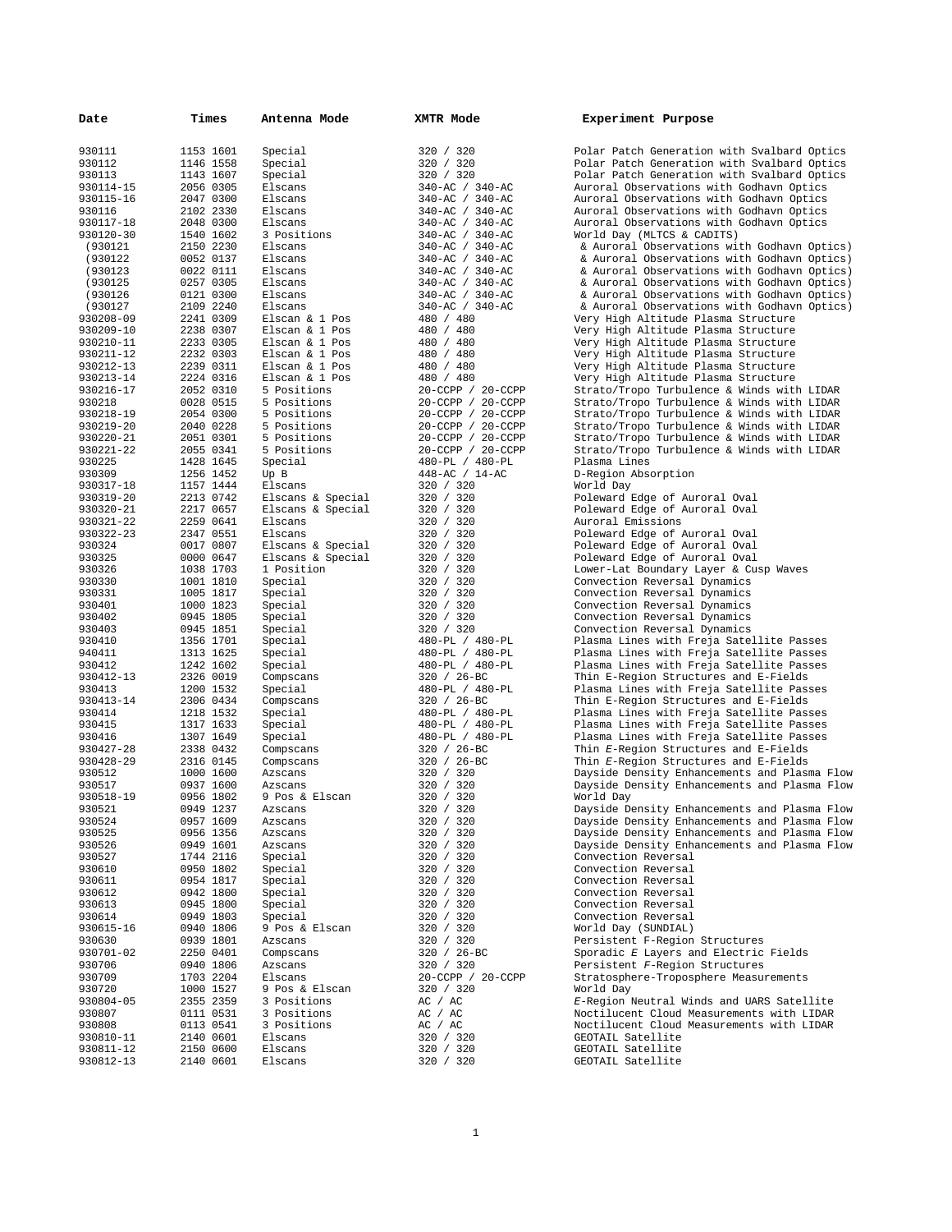| Date      | Times     | Antenna Mode       | XMTR Mode         | Experiment Purpose                                                                         |
|-----------|-----------|--------------------|-------------------|--------------------------------------------------------------------------------------------|
| 930111    | 1153 1601 | Special            | 320 / 320         | Polar Patch Generation with Svalbard Optics                                                |
| 930112    | 1146 1558 | Special            | 320 / 320         | Polar Patch Generation with Svalbard Optics                                                |
| 930113    | 1143 1607 | Special            | 320 / 320         | Polar Patch Generation with Svalbard Optics                                                |
| 930114-15 | 2056 0305 | Elscans            | 340-AC / 340-AC   | Auroral Observations with Godhavn Optics                                                   |
| 930115-16 | 2047 0300 | Elscans            | 340-AC / 340-AC   | Auroral Observations with Godhavn Optics                                                   |
| 930116    | 2102 2330 | Elscans            | 340-AC / 340-AC   | Auroral Observations with Godhavn Optics                                                   |
| 930117-18 | 2048 0300 | Elscans            | 340-AC / 340-AC   | Auroral Observations with Godhavn Optics                                                   |
| 930120-30 | 1540 1602 | 3 Positions        | 340-AC / 340-AC   |                                                                                            |
| (930121   | 2150 2230 |                    | 340-AC / 340-AC   | World Day (MLTCS & CADITS)                                                                 |
|           | 0052 0137 | Elscans<br>Elscans |                   | & Auroral Observations with Godhavn Optics)                                                |
| (930122   |           |                    | 340-AC / 340-AC   | & Auroral Observations with Godhavn Optics)<br>& Auroral Observations with Godhavn Optics) |
| (930123   | 0022 0111 | Elscans            | 340-AC / 340-AC   |                                                                                            |
| (930125   | 0257 0305 | Elscans            | 340-AC / 340-AC   | & Auroral Observations with Godhavn Optics)                                                |
| (930126   | 0121 0300 | Elscans            | 340-AC / 340-AC   | & Auroral Observations with Godhavn Optics)                                                |
| (930127   | 2109 2240 | Elscans            | 340-AC / 340-AC   | & Auroral Observations with Godhavn Optics)                                                |
| 930208-09 | 2241 0309 | Elscan & 1 Pos     | 480 / 480         | Very High Altitude Plasma Structure                                                        |
| 930209-10 | 2238 0307 | Elscan & 1 Pos     | 480 / 480         | Very High Altitude Plasma Structure                                                        |
| 930210-11 | 2233 0305 | Elscan & 1 Pos     | 480 / 480         | Very High Altitude Plasma Structure                                                        |
| 930211-12 | 2232 0303 | Elscan & 1 Pos     | 480 / 480         | Very High Altitude Plasma Structure                                                        |
| 930212-13 | 2239 0311 | Elscan & 1 Pos     | 480 / 480         | Very High Altitude Plasma Structure                                                        |
| 930213-14 | 2224 0316 | Elscan & 1 Pos     | 480 / 480         | Very High Altitude Plasma Structure                                                        |
| 930216-17 | 2052 0310 | 5 Positions        | 20-CCPP / 20-CCPP | Strato/Tropo Turbulence & Winds with LIDAR                                                 |
| 930218    | 0028 0515 | 5 Positions        | 20-CCPP / 20-CCPP | Strato/Tropo Turbulence & Winds with LIDAR                                                 |
| 930218-19 | 2054 0300 | 5 Positions        | 20-CCPP / 20-CCPP | Strato/Tropo Turbulence & Winds with LIDAR                                                 |
| 930219-20 | 2040 0228 | 5 Positions        | 20-CCPP / 20-CCPP | Strato/Tropo Turbulence & Winds with LIDAR                                                 |
| 930220-21 | 2051 0301 | 5 Positions        | 20-CCPP / 20-CCPP | Strato/Tropo Turbulence & Winds with LIDAR                                                 |
| 930221-22 | 2055 0341 | 5 Positions        | 20-CCPP / 20-CCPP | Strato/Tropo Turbulence & Winds with LIDAR                                                 |
| 930225    | 1428 1645 | Special            | 480-PL / 480-PL   | Plasma Lines                                                                               |
| 930309    | 1256 1452 | Up B               | 448-AC / $14$ -AC | D-Region Absorption                                                                        |
| 930317-18 | 1157 1444 | Elscans            | 320 / 320         | World Day                                                                                  |
| 930319-20 | 2213 0742 | Elscans & Special  | 320 / 320         | Poleward Edge of Auroral Oval                                                              |
| 930320-21 | 2217 0657 | Elscans & Special  | 320 / 320         | Poleward Edge of Auroral Oval                                                              |
| 930321-22 | 2259 0641 | Elscans            | 320 / 320         | Auroral Emissions                                                                          |
| 930322-23 | 2347 0551 | Elscans            | 320 / 320         | Poleward Edge of Auroral Oval                                                              |
| 930324    | 0017 0807 | Elscans & Special  | 320 / 320         | Poleward Edge of Auroral Oval                                                              |
| 930325    | 0000 0647 | Elscans & Special  | 320 / 320         | Poleward Edge of Auroral Oval                                                              |
| 930326    | 1038 1703 | 1 Position         | 320 / 320         | Lower-Lat Boundary Layer & Cusp Waves                                                      |
| 930330    | 1001 1810 | Special            | 320 / 320         | Convection Reversal Dynamics                                                               |
| 930331    | 1005 1817 | Special            | 320 / 320         | Convection Reversal Dynamics                                                               |
| 930401    | 1000 1823 | Special            | 320 / 320         | Convection Reversal Dynamics                                                               |
| 930402    | 0945 1805 | Special            | 320 / 320         | Convection Reversal Dynamics                                                               |
| 930403    | 0945 1851 | Special            | 320 / 320         | Convection Reversal Dynamics                                                               |
| 930410    | 1356 1701 | Special            | 480-PL / 480-PL   | Plasma Lines with Freja Satellite Passes                                                   |
| 940411    | 1313 1625 | Special            | 480-PL / 480-PL   | Plasma Lines with Freja Satellite Passes                                                   |
| 930412    | 1242 1602 | Special            | 480-PL / 480-PL   | Plasma Lines with Freja Satellite Passes                                                   |
| 930412-13 | 2326 0019 | Compscans          | $320 / 26 - BC$   | Thin E-Region Structures and E-Fields                                                      |
| 930413    | 1200 1532 | Special            | 480-PL / 480-PL   | Plasma Lines with Freja Satellite Passes                                                   |
| 930413-14 | 2306 0434 | Compscans          | 320 / 26-BC       | Thin E-Region Structures and E-Fields                                                      |
| 930414    | 1218 1532 | Special            | 480-PL / 480-PL   | Plasma Lines with Freja Satellite Passes                                                   |
| 930415    | 1317 1633 | Special            | 480-PL / 480-PL   | Plasma Lines with Freja Satellite Passes                                                   |
| 930416    | 1307 1649 | Special            | 480-PL / 480-PL   | Plasma Lines with Freja Satellite Passes                                                   |
| 930427-28 | 2338 0432 | Compscans          | $320 / 26 - BC$   | Thin E-Region Structures and E-Fields                                                      |
| 930428-29 | 2316 0145 | Compscans          | $320 / 26 - BC$   | Thin E-Region Structures and E-Fields                                                      |
| 930512    | 1000 1600 | Azscans            | 320 / 320         | Dayside Density Enhancements and Plasma Flow                                               |
| 930517    | 0937 1600 | Azscans            | 320 / 320         | Dayside Density Enhancements and Plasma Flow                                               |
| 930518-19 | 0956 1802 | 9 Pos & Elscan     | 320 / 320         | World Day                                                                                  |
| 930521    | 0949 1237 | Azscans            | 320 / 320         | Dayside Density Enhancements and Plasma Flow                                               |
| 930524    | 0957 1609 | Azscans            | 320 / 320         | Dayside Density Enhancements and Plasma Flow                                               |
| 930525    | 0956 1356 | Azscans            | 320 / 320         | Dayside Density Enhancements and Plasma Flow                                               |
| 930526    | 0949 1601 | Azscans            | 320 / 320         | Dayside Density Enhancements and Plasma Flow                                               |
| 930527    | 1744 2116 | Special            | 320 / 320         | Convection Reversal                                                                        |
| 930610    | 0950 1802 | Special            | 320 / 320         | Convection Reversal                                                                        |
| 930611    | 0954 1817 | Special            | 320 / 320         | Convection Reversal                                                                        |
| 930612    | 0942 1800 | Special            | 320 / 320         | Convection Reversal                                                                        |
| 930613    | 0945 1800 | Special            | 320 / 320         | Convection Reversal                                                                        |
| 930614    | 0949 1803 | Special            | 320 / 320         | Convection Reversal                                                                        |
| 930615-16 | 0940 1806 | 9 Pos & Elscan     | 320 / 320         | World Day (SUNDIAL)                                                                        |
| 930630    | 0939 1801 | Azscans            | 320 / 320         | Persistent F-Region Structures                                                             |
| 930701-02 | 2250 0401 | Compscans          | 320 / 26-BC       | Sporadic E Layers and Electric Fields                                                      |
| 930706    | 0940 1806 | Azscans            | 320 / 320         | Persistent F-Region Structures                                                             |
| 930709    | 1703 2204 | Elscans            | 20-CCPP / 20-CCPP | Stratosphere-Troposphere Measurements                                                      |
| 930720    | 1000 1527 | 9 Pos & Elscan     | 320 / 320         | World Day                                                                                  |
| 930804-05 |           | 3 Positions        |                   |                                                                                            |
|           | 2355 2359 |                    | AC / AC           | E-Region Neutral Winds and UARS Satellite                                                  |
| 930807    | 0111 0531 | 3 Positions        | AC / AC           | Noctilucent Cloud Measurements with LIDAR                                                  |
| 930808    | 0113 0541 | 3 Positions        | AC / AC           | Noctilucent Cloud Measurements with LIDAR<br>GEOTAIL Satellite                             |
| 930810-11 | 2140 0601 | Elscans            | 320 / 320         |                                                                                            |
| 930811-12 | 2150 0600 | Elscans            | 320 / 320         | GEOTAIL Satellite                                                                          |
| 930812-13 | 2140 0601 | Elscans            | 320 / 320         | GEOTAIL Satellite                                                                          |

|                                                                                                                | --                       |
|----------------------------------------------------------------------------------------------------------------|--------------------------|
| 320 / 320                                                                                                      | Polar Pat                |
| 320 /<br>320                                                                                                   | Polar Pat                |
| /320<br>320                                                                                                    | Polar Pat                |
| 340-AC / 340-AC                                                                                                | Auroral O                |
| $340 - AC$ / $340 - AC$                                                                                        | Auroral O                |
| 340-AC / 340-AC<br>340-AC / 340-AC<br>340-AC / 340-AC<br>340-AC / 340-AC<br>340-AC / 340-AC<br>340-AC / 340-AC | Auroral O                |
|                                                                                                                | Auroral O                |
|                                                                                                                | World Day                |
|                                                                                                                | & Aurora                 |
| 340-AC / 340-AC                                                                                                | & Aurora<br>& Aurora     |
| $340 - AC$ / $340 - AC$                                                                                        | & Aurora                 |
| $340 - AC$ / $340 - AC$                                                                                        | & Aurora                 |
| 340-AC / 340-AC                                                                                                | & Aurora                 |
| 480 / 480                                                                                                      | Very High                |
| 480 / 480                                                                                                      | Very High                |
| 480 / 480                                                                                                      | Very High                |
| 480 / 480                                                                                                      | Very High                |
| 480 / 480                                                                                                      | Very High                |
| 480 / 480                                                                                                      | Very High                |
| 20-CCPP / 20-CCPP                                                                                              | Strato/Tro               |
| 20-CCPP / 20-CCPP<br>20-CCPP / 20-CCPP                                                                         | Strato/Tro<br>Strato/Tro |
| $20 - CCPP$ / $20 - CCPP$                                                                                      | Strato/Tro               |
| 20-CCPP / 20-CCPP                                                                                              | Strato/Tro               |
| $20$ -CCPP / $20$ -CCPP                                                                                        | Strato/Tro               |
| 480-PL / 480-PL<br>448-AC / 14-AC                                                                              | Plasma Li                |
|                                                                                                                | D-Region                 |
| $320 / 320$<br>$320 / 320$                                                                                     | World Day                |
|                                                                                                                | Poleward 1               |
| 320 / 320                                                                                                      | Poleward 1               |
| 320 / 320                                                                                                      | Auroral E<br>Poleward 1  |
| $\begin{array}{c} 320 \\ 320 \\ 7320 \\ 320 \\ 320 \end{array}$                                                | Poleward                 |
| 320 / 320                                                                                                      | Poleward 1               |
| 320 / 320                                                                                                      | Lower-Lat                |
| 320 / 320                                                                                                      | Convection               |
| 320 / 320                                                                                                      | Convection               |
| 320 / 320                                                                                                      | Convection               |
| $\frac{320}{255}$<br>320<br>320 / 320                                                                          | Convection               |
| 480-PL / 480-PL                                                                                                | Convection<br>Plasma Li  |
| $480-PL / 480-PL$                                                                                              | Plasma Li                |
| 480-PL / 480-PL                                                                                                | Plasma Li                |
| 320 / 26-BC                                                                                                    | Thin E-Re                |
| 480-PL / 480-PL                                                                                                | Plasma Li                |
| 320 / 26-BC                                                                                                    | Thin E-Re                |
| 480-PL / 480-PL<br>$480 - PL$ / $480 - PL$                                                                     | Plasma Li                |
| $480-PL$ / $480-PL$                                                                                            | Plasma Li<br>Plasma Li   |
| 320 / 26-BC                                                                                                    | Thin E-Re                |
| $320 / 26 - BC$                                                                                                | Thin E-Re                |
| 320 / 320                                                                                                      | Dayside D                |
| 320 / 320                                                                                                      | Dayside D                |
| 320 / 320                                                                                                      | World Day                |
| 320 / 320                                                                                                      | Dayside D                |
| 320<br>$\mathcal I$<br>320                                                                                     | Dayside D                |
| 320<br>320<br>7                                                                                                | Dayside D                |
| 320<br>320<br>Τ<br>320<br>$\overline{1}$<br>320                                                                | Dayside D<br>Convectio   |
| 320 /<br>320                                                                                                   | Convection               |
| 320 /<br>320                                                                                                   | Convection               |
| 320 /<br>320                                                                                                   | Convection               |
| 320<br>$^\prime$<br>320                                                                                        | Convection               |
| 320 /<br>320                                                                                                   | Convectio                |
| 320<br>320<br>$\overline{\phantom{a}}$                                                                         | World Day                |
| 320<br>$\sqrt{2}$<br>320                                                                                       | Persisten                |
| 320<br>$26 - BC$<br>7                                                                                          | Sporadic 1               |
| 320<br>$\overline{ }$<br>320<br>$20$ -CCPP /<br>$20 - CCPP$                                                    | Persisten                |
| 320<br>/320                                                                                                    | Stratosph<br>World Day   |
| AC /<br>AC                                                                                                     | E-Region 1               |
| AC /<br>AC                                                                                                     | Noctiluce                |
| AC<br>$\sqrt{2}$<br>AC                                                                                         | Noctiluce                |
| 320 /<br>320                                                                                                   | GEOTAIL S                |
| 320 /<br>320                                                                                                   | GEOTAIL S                |
| 320 / 320                                                                                                      | GEOTAIL S                |
|                                                                                                                |                          |